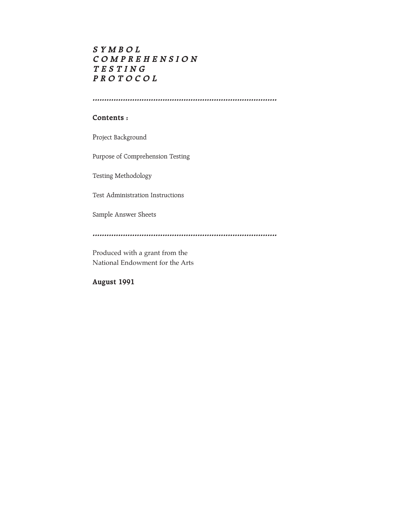# **S Y M B O L C O M P R E H E N S I O N T E S T I N G P R O T O C O L**

**...............................................................................**

#### **Contents :**

Project Background

Purpose of Comprehension Testing

Testing Methodology

Test Administration Instructions

Sample Answer Sheets

**...............................................................................**

Produced with a grant from the National Endowment for the Arts

**August 1991**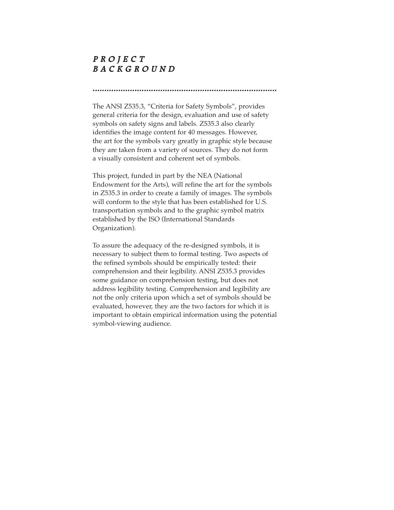## **P R O J E C T B A C K G R O U N D**

**...............................................................................** The ANSI Z535.3, "Criteria for Safety Symbols", provides

general criteria for the design, evaluation and use of safety symbols on safety signs and labels. Z535.3 also clearly identifies the image content for 40 messages. However, the art for the symbols vary greatly in graphic style because they are taken from a variety of sources. They do not form a visually consistent and coherent set of symbols.

This project, funded in part by the NEA (National Endowment for the Arts), will refine the art for the symbols in Z535.3 in order to create a family of images. The symbols will conform to the style that has been established for U.S. transportation symbols and to the graphic symbol matrix established by the ISO (International Standards Organization).

To assure the adequacy of the re-designed symbols, it is necessary to subject them to formal testing. Two aspects of the refined symbols should be empirically tested: their comprehension and their legibility. ANSI Z535.3 provides some guidance on comprehension testing, but does not address legibility testing. Comprehension and legibility are not the only criteria upon which a set of symbols should be evaluated, however, they are the two factors for which it is important to obtain empirical information using the potential symbol-viewing audience.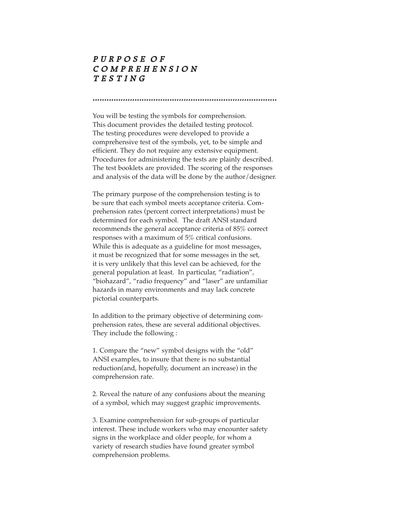## **P U R P O S E O F C O M P R E H E N S I O N T E S T I N G**

You will be testing the symbols for comprehension. This document provides the detailed testing protocol. The testing procedures were developed to provide a comprehensive test of the symbols, yet, to be simple and efficient. They do not require any extensive equipment. Procedures for administering the tests are plainly described. The test booklets are provided. The scoring of the responses and analysis of the data will be done by the author/designer.

**...............................................................................**

The primary purpose of the comprehension testing is to be sure that each symbol meets acceptance criteria. Comprehension rates (percent correct interpretations) must be determined for each symbol. The draft ANSI standard recommends the general acceptance criteria of 85% correct responses with a maximum of 5% critical confusions. While this is adequate as a guideline for most messages, it must be recognized that for some messages in the set, it is very unlikely that this level can be achieved, for the general population at least. In particular, "radiation", "biohazard", "radio frequency" and "laser" are unfamiliar hazards in many environments and may lack concrete pictorial counterparts.

In addition to the primary objective of determining comprehension rates, these are several additional objectives. They include the following :

1. Compare the "new" symbol designs with the "old" ANSI examples, to insure that there is no substantial reduction(and, hopefully, document an increase) in the comprehension rate.

2. Reveal the nature of any confusions about the meaning of a symbol, which may suggest graphic improvements.

3. Examine comprehension for sub-groups of particular interest. These include workers who may encounter safety signs in the workplace and older people, for whom a variety of research studies have found greater symbol comprehension problems.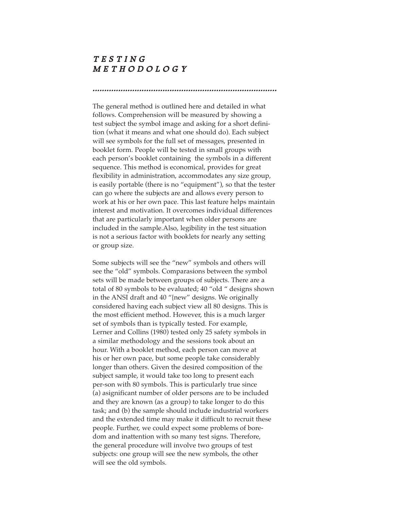#### **T E S T I N G M E T H O D O L O G Y**

The general method is outlined here and detailed in what follows. Comprehension will be measured by showing a test subject the symbol image and asking for a short definition (what it means and what one should do). Each subject will see symbols for the full set of messages, presented in booklet form. People will be tested in small groups with each person's booklet containing the symbols in a different sequence. This method is economical, provides for great flexibility in administration, accommodates any size group, is easily portable (there is no "equipment"), so that the tester can go where the subjects are and allows every person to work at his or her own pace. This last feature helps maintain interest and motivation. It overcomes individual differences that are particularly important when older persons are included in the sample.Also, legibility in the test situation is not a serious factor with booklets for nearly any setting or group size.

**...............................................................................**

Some subjects will see the "new" symbols and others will see the "old" symbols. Comparasions between the symbol sets will be made between groups of subjects. There are a total of 80 symbols to be evaluated; 40 "old " designs shown in the ANSI draft and 40 "{new" designs. We originally considered having each subject view all 80 designs. This is the most efficient method. However, this is a much larger set of symbols than is typically tested. For example, Lerner and Collins (1980) tested only 25 safety symbols in a similar methodology and the sessions took about an hour. With a booklet method, each person can move at his or her own pace, but some people take considerably longer than others. Given the desired composition of the subject sample, it would take too long to present each per-son with 80 symbols. This is particularly true since (a) asignificant number of older persons are to be included and they are known (as a group) to take longer to do this task; and (b) the sample should include industrial workers and the extended time may make it difficult to recruit these people. Further, we could expect some problems of boredom and inattention with so many test signs. Therefore, the general procedure will involve two groups of test subjects: one group will see the new symbols, the other will see the old symbols.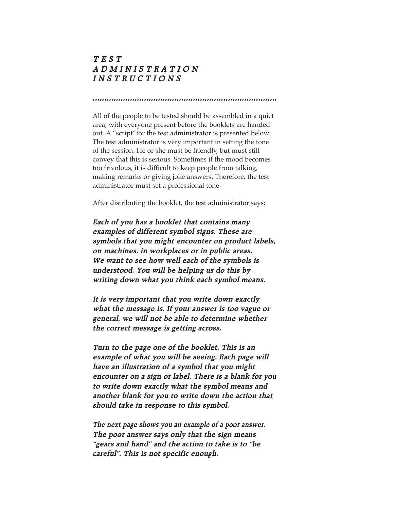## **T EST ADMINISTRATION INSTRUCTIONS**

All of the people to be tested should be assembled in a quiet area, with everyone present before the booklets are handed out. A "script"for the test administrator is presented below. The test administrator is very important in setting the tone of the session. He or she must be friendly, but must still convey that this is serious. Sometimes if the mood becomes too frivolous, it is difficult to keep people from talking, making remarks or giving joke answers. Therefore, the test administrator must set a professional tone.

**...............................................................................**

After distributing the booklet, the test administrator says:

**Each of you has a booklet that contains many examples of different symbol signs. These are symbols that you might encounter on product labels, on machines, in workplaces or in public areas. We want to see how well each of the symbols is understood. You will be helping us do this by writing down what you think each symbol means.**

**It is very important that you write down exactly what the message is. If your answer is too vague or general, we will not be able to determine whether the correct message is getting across.**

**Turn to the page one of the booklet. This is an example of what you will be seeing. Each page will have an illustration of a symbol that you might encounter on a sign or label. There is a blank for you to write down exactly what the symbol means and another blank for you to write down the action that should take in response to this symbol.**

**The next page shows you an example of a poor answer. The poor answer says only that the sign means "gears and hand" and the action to take is to "be careful". This is not specific enough.**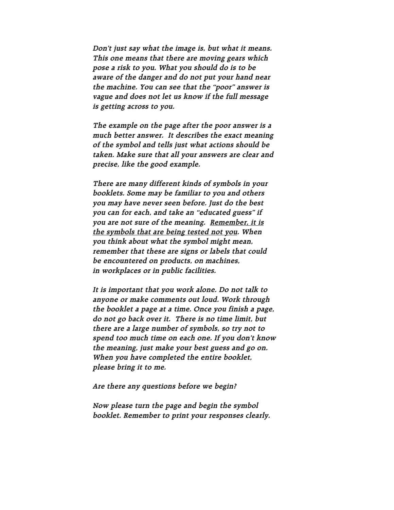**Don't just say what the image is, but what it means. This one means that there are moving gears which pose a risk to you. What you should do is to be aware of the danger and do not put your hand near the machine. You can see that the "poor" answer is vague and does not let us know if the full message is getting across to you.**

**The example on the page after the poor answer is a much better answer. It describes the exact meaning of the symbol and tells just what actions should be taken. Make sure that all your answers are clear and precise, like the good example.**

**There are many different kinds of symbols in your booklets. Some may be familiar to you and others you may have never seen before. Just do the best you can for each, and take an "educated guess" if you are not sure of the meaning. Remember, it is the symbols that are being tested not you. When you think about what the symbol might mean, remember that these are signs or labels that could be encountered on products, on machines, in workplaces or in public facilities.**

**It is important that you work alone. Do not talk to anyone or make comments out loud. Work through the booklet a page at a time. Once you finish a page, do not go back over it. There is no time limit, but there are a large number of symbols, so try not to spend too much time on each one. If you don't know the meaning, just make your best guess and go on. When you have completed the entire booklet, please bring it to me.**

**Are there any questions before we begin?**

**Now please turn the page and begin the symbol booklet. Remember to print your responses clearly.**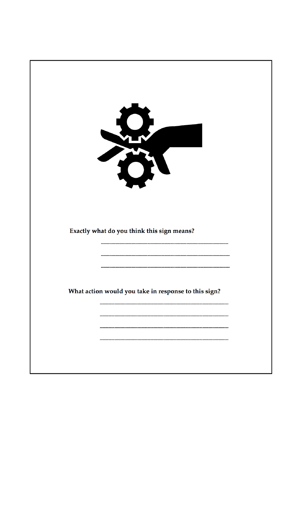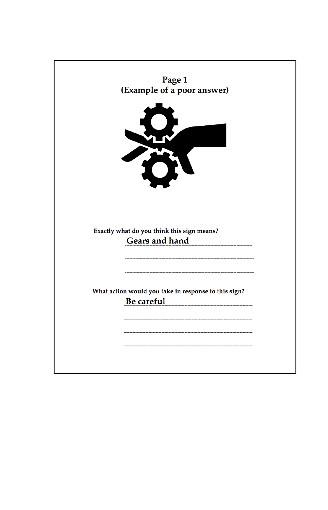| Page 1<br>(Example of a poor answer)                                      |  |
|---------------------------------------------------------------------------|--|
|                                                                           |  |
| SO                                                                        |  |
|                                                                           |  |
| O                                                                         |  |
|                                                                           |  |
|                                                                           |  |
|                                                                           |  |
| Exactly what do you think this sign means?<br><b>Gears and hand</b>       |  |
|                                                                           |  |
|                                                                           |  |
|                                                                           |  |
|                                                                           |  |
| What action would you take in response to this sign?<br><b>Be careful</b> |  |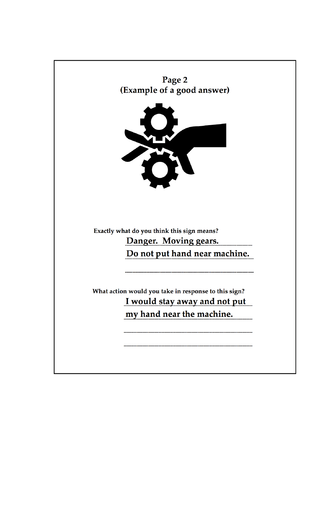